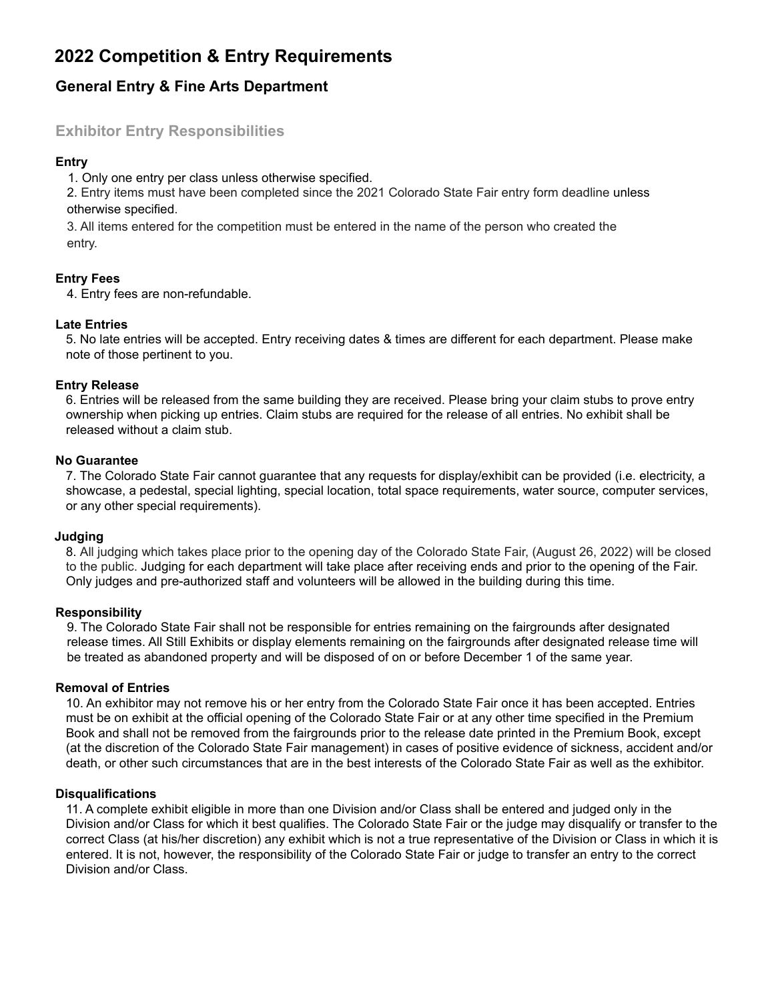# **2022 Competition & Entry Requirements**

# **General Entry & Fine Arts Department**

## **Exhibitor Entry Responsibilities**

#### **Entry**

1. Only one entry per class unless otherwise specified.

2. Entry items must have been completed since the 2021 Colorado State Fair entry form deadline unless otherwise specified.

3. All items entered for the competition must be entered in the name of the person who created the entry.

#### **Entry Fees**

4. Entry fees are non-refundable.

#### **Late Entries**

5. No late entries will be accepted. Entry receiving dates & times are different for each department. Please make note of those pertinent to you.

#### **Entry Release**

6. Entries will be released from the same building they are received. Please bring your claim stubs to prove entry ownership when picking up entries. Claim stubs are required for the release of all entries. No exhibit shall be released without a claim stub.

#### **No Guarantee**

7. The Colorado State Fair cannot guarantee that any requests for display/exhibit can be provided (i.e. electricity, a showcase, a pedestal, special lighting, special location, total space requirements, water source, computer services, or any other special requirements).

#### **Judging**

8. All judging which takes place prior to the opening day of the Colorado State Fair, (August 26, 2022) will be closed to the public. Judging for each department will take place after receiving ends and prior to the opening of the Fair. Only judges and pre-authorized staff and volunteers will be allowed in the building during this time.

#### **Responsibility**

9. The Colorado State Fair shall not be responsible for entries remaining on the fairgrounds after designated release times. All Still Exhibits or display elements remaining on the fairgrounds after designated release time will be treated as abandoned property and will be disposed of on or before December 1 of the same year.

#### **Removal of Entries**

10. An exhibitor may not remove his or her entry from the Colorado State Fair once it has been accepted. Entries must be on exhibit at the official opening of the Colorado State Fair or at any other time specified in the Premium Book and shall not be removed from the fairgrounds prior to the release date printed in the Premium Book, except (at the discretion of the Colorado State Fair management) in cases of positive evidence of sickness, accident and/or death, or other such circumstances that are in the best interests of the Colorado State Fair as well as the exhibitor.

#### **Disqualifications**

11. A complete exhibit eligible in more than one Division and/or Class shall be entered and judged only in the Division and/or Class for which it best qualifies. The Colorado State Fair or the judge may disqualify or transfer to the correct Class (at his/her discretion) any exhibit which is not a true representative of the Division or Class in which it is entered. It is not, however, the responsibility of the Colorado State Fair or judge to transfer an entry to the correct Division and/or Class.